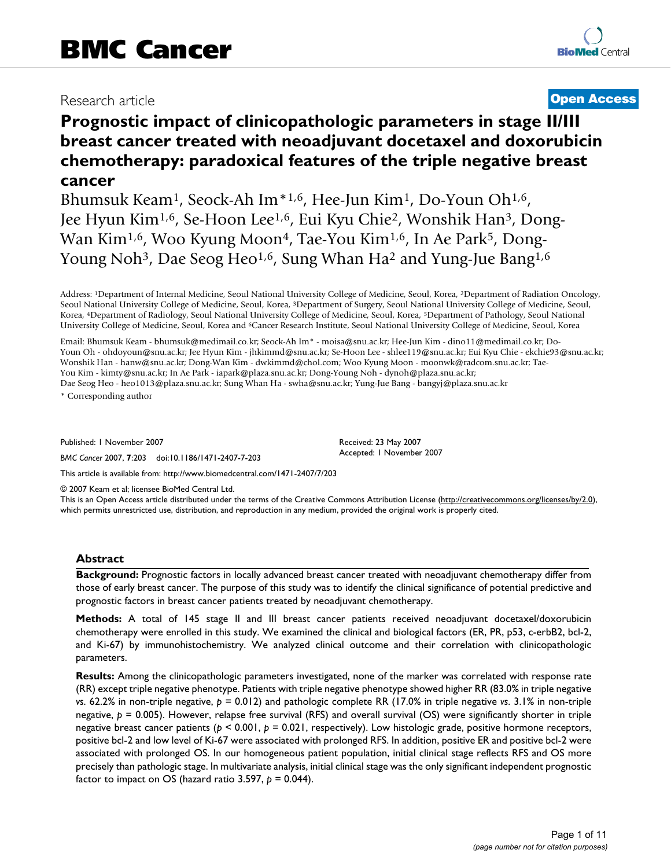# Research article **[Open Access](http://www.biomedcentral.com/info/about/charter/)**

# **Prognostic impact of clinicopathologic parameters in stage II/III breast cancer treated with neoadjuvant docetaxel and doxorubicin chemotherapy: paradoxical features of the triple negative breast cancer**

Bhumsuk Keam1, Seock-Ah Im\*1,6, Hee-Jun Kim1, Do-Youn Oh1,6, Jee Hyun Kim1,6, Se-Hoon Lee1,6, Eui Kyu Chie2, Wonshik Han3, Dong-Wan Kim<sup>1,6</sup>, Woo Kyung Moon<sup>4</sup>, Tae-You Kim<sup>1,6</sup>, In Ae Park<sup>5</sup>, Dong-Young Noh<sup>3</sup>, Dae Seog Heo<sup>1,6</sup>, Sung Whan Ha<sup>2</sup> and Yung-Jue Bang<sup>1,6</sup>

Address: 1Department of Internal Medicine, Seoul National University College of Medicine, Seoul, Korea, 2Department of Radiation Oncology, Seoul National University College of Medicine, Seoul, Korea, 3Department of Surgery, Seoul National University College of Medicine, Seoul, Korea, 4Department of Radiology, Seoul National University College of Medicine, Seoul, Korea, 5Department of Pathology, Seoul National University College of Medicine, Seoul, Korea and 6Cancer Research Institute, Seoul National University College of Medicine, Seoul, Korea

Email: Bhumsuk Keam - bhumsuk@medimail.co.kr; Seock-Ah Im\* - moisa@snu.ac.kr; Hee-Jun Kim - dino11@medimail.co.kr; Do-Youn Oh - ohdoyoun@snu.ac.kr; Jee Hyun Kim - jhkimmd@snu.ac.kr; Se-Hoon Lee - shlee119@snu.ac.kr; Eui Kyu Chie - ekchie93@snu.ac.kr; Wonshik Han - hanw@snu.ac.kr; Dong-Wan Kim - dwkimmd@chol.com; Woo Kyung Moon - moonwk@radcom.snu.ac.kr; Tae-You Kim - kimty@snu.ac.kr; In Ae Park - iapark@plaza.snu.ac.kr; Dong-Young Noh - dynoh@plaza.snu.ac.kr; Dae Seog Heo - heo1013@plaza.snu.ac.kr; Sung Whan Ha - swha@snu.ac.kr; Yung-Jue Bang - bangyj@plaza.snu.ac.kr

> Received: 23 May 2007 Accepted: 1 November 2007

\* Corresponding author

Published: 1 November 2007

*BMC Cancer* 2007, **7**:203 doi:10.1186/1471-2407-7-203

[This article is available from: http://www.biomedcentral.com/1471-2407/7/203](http://www.biomedcentral.com/1471-2407/7/203)

© 2007 Keam et al; licensee BioMed Central Ltd.

This is an Open Access article distributed under the terms of the Creative Commons Attribution License [\(http://creativecommons.org/licenses/by/2.0\)](http://creativecommons.org/licenses/by/2.0), which permits unrestricted use, distribution, and reproduction in any medium, provided the original work is properly cited.

# **Abstract**

**Background:** Prognostic factors in locally advanced breast cancer treated with neoadjuvant chemotherapy differ from those of early breast cancer. The purpose of this study was to identify the clinical significance of potential predictive and prognostic factors in breast cancer patients treated by neoadjuvant chemotherapy.

**Methods:** A total of 145 stage II and III breast cancer patients received neoadjuvant docetaxel/doxorubicin chemotherapy were enrolled in this study. We examined the clinical and biological factors (ER, PR, p53, c-erbB2, bcl-2, and Ki-67) by immunohistochemistry. We analyzed clinical outcome and their correlation with clinicopathologic parameters.

**Results:** Among the clinicopathologic parameters investigated, none of the marker was correlated with response rate (RR) except triple negative phenotype. Patients with triple negative phenotype showed higher RR (83.0% in triple negative *vs*. 62.2% in non-triple negative, *p* = 0.012) and pathologic complete RR (17.0% in triple negative *vs*. 3.1% in non-triple negative, *p* = 0.005). However, relapse free survival (RFS) and overall survival (OS) were significantly shorter in triple negative breast cancer patients (*p* < 0.001, *p* = 0.021, respectively). Low histologic grade, positive hormone receptors, positive bcl-2 and low level of Ki-67 were associated with prolonged RFS. In addition, positive ER and positive bcl-2 were associated with prolonged OS. In our homogeneous patient population, initial clinical stage reflects RFS and OS more precisely than pathologic stage. In multivariate analysis, initial clinical stage was the only significant independent prognostic factor to impact on OS (hazard ratio 3.597,  $p = 0.044$ ).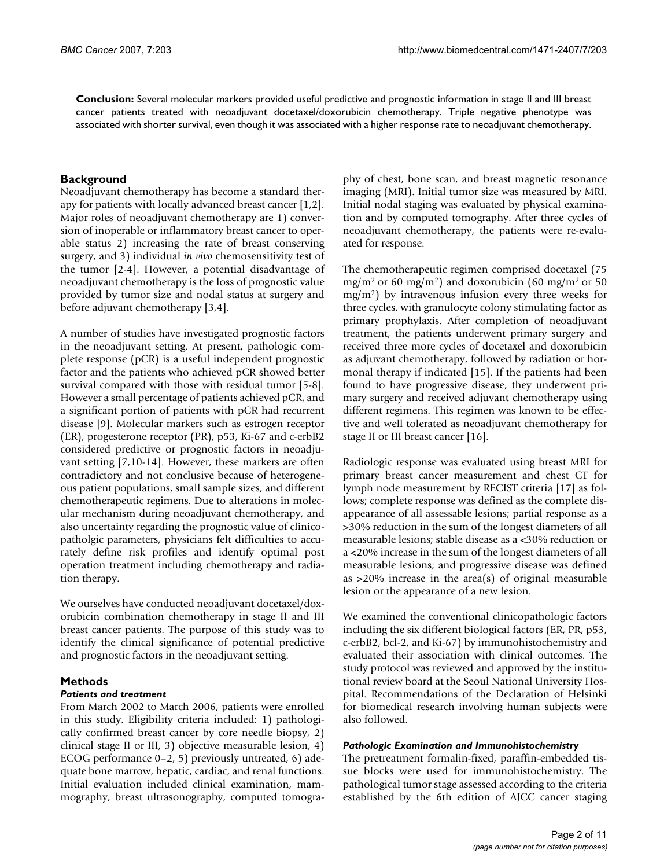**Conclusion:** Several molecular markers provided useful predictive and prognostic information in stage II and III breast cancer patients treated with neoadjuvant docetaxel/doxorubicin chemotherapy. Triple negative phenotype was associated with shorter survival, even though it was associated with a higher response rate to neoadjuvant chemotherapy.

# **Background**

Neoadjuvant chemotherapy has become a standard therapy for patients with locally advanced breast cancer [1,2]. Major roles of neoadjuvant chemotherapy are 1) conversion of inoperable or inflammatory breast cancer to operable status 2) increasing the rate of breast conserving surgery, and 3) individual *in vivo* chemosensitivity test of the tumor [2-4]. However, a potential disadvantage of neoadjuvant chemotherapy is the loss of prognostic value provided by tumor size and nodal status at surgery and before adjuvant chemotherapy [3,4].

A number of studies have investigated prognostic factors in the neoadjuvant setting. At present, pathologic complete response (pCR) is a useful independent prognostic factor and the patients who achieved pCR showed better survival compared with those with residual tumor [5-8]. However a small percentage of patients achieved pCR, and a significant portion of patients with pCR had recurrent disease [9]. Molecular markers such as estrogen receptor (ER), progesterone receptor (PR), p53, Ki-67 and c-erbB2 considered predictive or prognostic factors in neoadjuvant setting [7,10-14]. However, these markers are often contradictory and not conclusive because of heterogeneous patient populations, small sample sizes, and different chemotherapeutic regimens. Due to alterations in molecular mechanism during neoadjuvant chemotherapy, and also uncertainty regarding the prognostic value of clinicopatholgic parameters, physicians felt difficulties to accurately define risk profiles and identify optimal post operation treatment including chemotherapy and radiation therapy.

We ourselves have conducted neoadjuvant docetaxel/doxorubicin combination chemotherapy in stage II and III breast cancer patients. The purpose of this study was to identify the clinical significance of potential predictive and prognostic factors in the neoadjuvant setting.

# **Methods**

# *Patients and treatment*

From March 2002 to March 2006, patients were enrolled in this study. Eligibility criteria included: 1) pathologically confirmed breast cancer by core needle biopsy, 2) clinical stage II or III, 3) objective measurable lesion, 4) ECOG performance 0–2, 5) previously untreated, 6) adequate bone marrow, hepatic, cardiac, and renal functions. Initial evaluation included clinical examination, mammography, breast ultrasonography, computed tomography of chest, bone scan, and breast magnetic resonance imaging (MRI). Initial tumor size was measured by MRI. Initial nodal staging was evaluated by physical examination and by computed tomography. After three cycles of neoadjuvant chemotherapy, the patients were re-evaluated for response.

The chemotherapeutic regimen comprised docetaxel (75 mg/m<sup>2</sup> or 60 mg/m<sup>2</sup>) and doxorubicin (60 mg/m<sup>2</sup> or 50  $mg/m<sup>2</sup>$ ) by intravenous infusion every three weeks for three cycles, with granulocyte colony stimulating factor as primary prophylaxis. After completion of neoadjuvant treatment, the patients underwent primary surgery and received three more cycles of docetaxel and doxorubicin as adjuvant chemotherapy, followed by radiation or hormonal therapy if indicated [15]. If the patients had been found to have progressive disease, they underwent primary surgery and received adjuvant chemotherapy using different regimens. This regimen was known to be effective and well tolerated as neoadjuvant chemotherapy for stage II or III breast cancer [16].

Radiologic response was evaluated using breast MRI for primary breast cancer measurement and chest CT for lymph node measurement by RECIST criteria [17] as follows; complete response was defined as the complete disappearance of all assessable lesions; partial response as a >30% reduction in the sum of the longest diameters of all measurable lesions; stable disease as a <30% reduction or a <20% increase in the sum of the longest diameters of all measurable lesions; and progressive disease was defined as >20% increase in the area(s) of original measurable lesion or the appearance of a new lesion.

We examined the conventional clinicopathologic factors including the six different biological factors (ER, PR, p53, c-erbB2, bcl-2, and Ki-67) by immunohistochemistry and evaluated their association with clinical outcomes. The study protocol was reviewed and approved by the institutional review board at the Seoul National University Hospital. Recommendations of the Declaration of Helsinki for biomedical research involving human subjects were also followed.

# *Pathologic Examination and Immunohistochemistry*

The pretreatment formalin-fixed, paraffin-embedded tissue blocks were used for immunohistochemistry. The pathological tumor stage assessed according to the criteria established by the 6th edition of AJCC cancer staging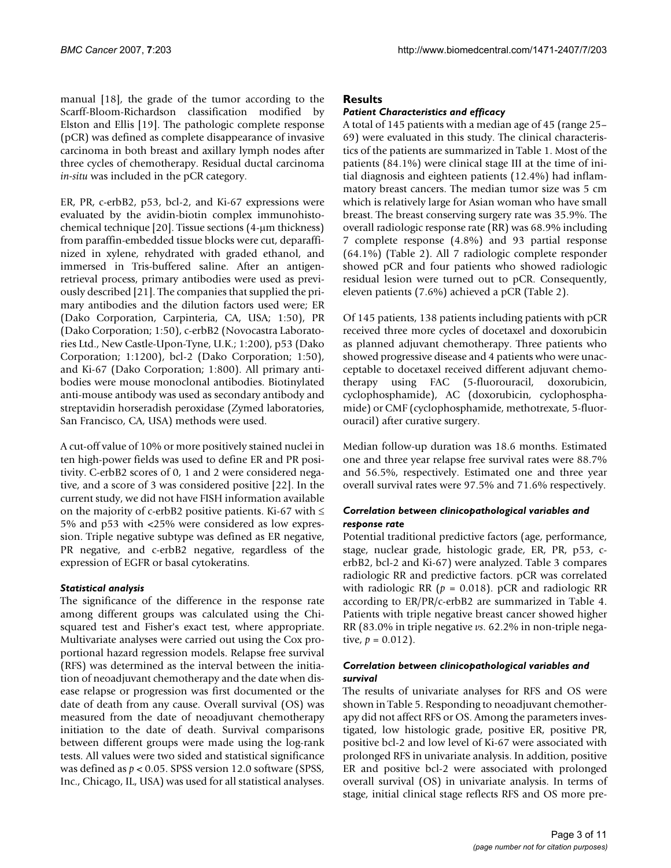manual [18], the grade of the tumor according to the Scarff-Bloom-Richardson classification modified by Elston and Ellis [19]. The pathologic complete response (pCR) was defined as complete disappearance of invasive carcinoma in both breast and axillary lymph nodes after three cycles of chemotherapy. Residual ductal carcinoma *in-situ* was included in the pCR category.

ER, PR, c-erbB2, p53, bcl-2, and Ki-67 expressions were evaluated by the avidin-biotin complex immunohistochemical technique [20]. Tissue sections (4-μm thickness) from paraffin-embedded tissue blocks were cut, deparaffinized in xylene, rehydrated with graded ethanol, and immersed in Tris-buffered saline. After an antigenretrieval process, primary antibodies were used as previously described [21]. The companies that supplied the primary antibodies and the dilution factors used were; ER (Dako Corporation, Carpinteria, CA, USA; 1:50), PR (Dako Corporation; 1:50), c-erbB2 (Novocastra Laboratories Ltd., New Castle-Upon-Tyne, U.K.; 1:200), p53 (Dako Corporation; 1:1200), bcl-2 (Dako Corporation; 1:50), and Ki-67 (Dako Corporation; 1:800). All primary antibodies were mouse monoclonal antibodies. Biotinylated anti-mouse antibody was used as secondary antibody and streptavidin horseradish peroxidase (Zymed laboratories, San Francisco, CA, USA) methods were used.

A cut-off value of 10% or more positively stained nuclei in ten high-power fields was used to define ER and PR positivity. C-erbB2 scores of 0, 1 and 2 were considered negative, and a score of 3 was considered positive [22]. In the current study, we did not have FISH information available on the majority of c-erbB2 positive patients. Ki-67 with  $\leq$ 5% and p53 with <25% were considered as low expression. Triple negative subtype was defined as ER negative, PR negative, and c-erbB2 negative, regardless of the expression of EGFR or basal cytokeratins.

# *Statistical analysis*

The significance of the difference in the response rate among different groups was calculated using the Chisquared test and Fisher's exact test, where appropriate. Multivariate analyses were carried out using the Cox proportional hazard regression models. Relapse free survival (RFS) was determined as the interval between the initiation of neoadjuvant chemotherapy and the date when disease relapse or progression was first documented or the date of death from any cause. Overall survival (OS) was measured from the date of neoadjuvant chemotherapy initiation to the date of death. Survival comparisons between different groups were made using the log-rank tests. All values were two sided and statistical significance was defined as *p* < 0.05. SPSS version 12.0 software (SPSS, Inc., Chicago, IL, USA) was used for all statistical analyses.

# **Results**

# *Patient Characteristics and efficacy*

A total of 145 patients with a median age of 45 (range 25– 69) were evaluated in this study. The clinical characteristics of the patients are summarized in Table 1. Most of the patients (84.1%) were clinical stage III at the time of initial diagnosis and eighteen patients (12.4%) had inflammatory breast cancers. The median tumor size was 5 cm which is relatively large for Asian woman who have small breast. The breast conserving surgery rate was 35.9%. The overall radiologic response rate (RR) was 68.9% including 7 complete response (4.8%) and 93 partial response (64.1%) (Table 2). All 7 radiologic complete responder showed pCR and four patients who showed radiologic residual lesion were turned out to pCR. Consequently, eleven patients (7.6%) achieved a pCR (Table 2).

Of 145 patients, 138 patients including patients with pCR received three more cycles of docetaxel and doxorubicin as planned adjuvant chemotherapy. Three patients who showed progressive disease and 4 patients who were unacceptable to docetaxel received different adjuvant chemotherapy using FAC (5-fluorouracil, doxorubicin, cyclophosphamide), AC (doxorubicin, cyclophosphamide) or CMF (cyclophosphamide, methotrexate, 5-fluorouracil) after curative surgery.

Median follow-up duration was 18.6 months. Estimated one and three year relapse free survival rates were 88.7% and 56.5%, respectively. Estimated one and three year overall survival rates were 97.5% and 71.6% respectively.

# *Correlation between clinicopathological variables and response rate*

Potential traditional predictive factors (age, performance, stage, nuclear grade, histologic grade, ER, PR, p53, cerbB2, bcl-2 and Ki-67) were analyzed. Table 3 compares radiologic RR and predictive factors. pCR was correlated with radiologic RR ( $p = 0.018$ ). pCR and radiologic RR according to ER/PR/c-erbB2 are summarized in Table 4. Patients with triple negative breast cancer showed higher RR (83.0% in triple negative *vs*. 62.2% in non-triple negative,  $p = 0.012$ ).

# *Correlation between clinicopathological variables and survival*

The results of univariate analyses for RFS and OS were shown in Table 5. Responding to neoadjuvant chemotherapy did not affect RFS or OS. Among the parameters investigated, low histologic grade, positive ER, positive PR, positive bcl-2 and low level of Ki-67 were associated with prolonged RFS in univariate analysis. In addition, positive ER and positive bcl-2 were associated with prolonged overall survival (OS) in univariate analysis. In terms of stage, initial clinical stage reflects RFS and OS more pre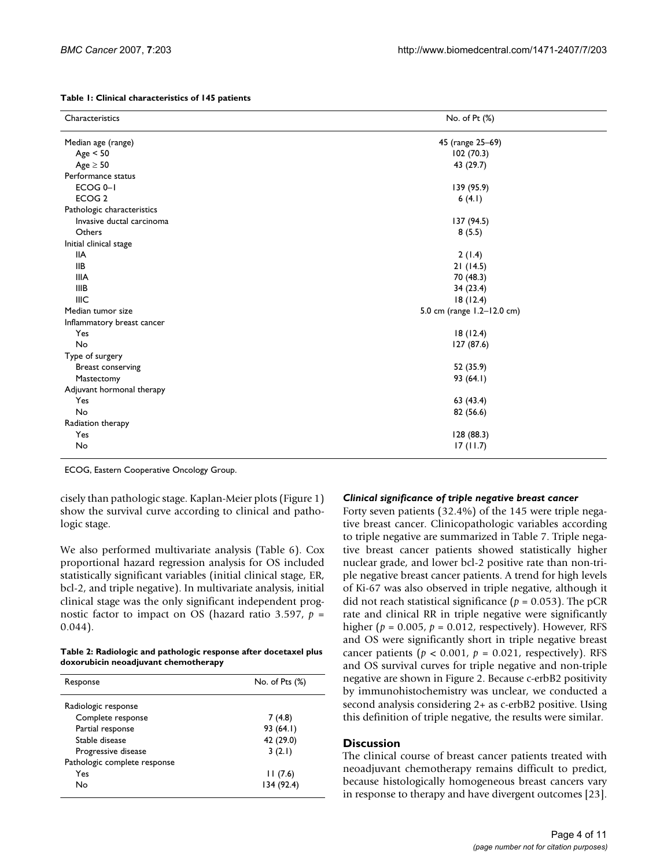**Table 1: Clinical characteristics of 145 patients**

| Characteristics            | No. of Pt (%)              |  |  |
|----------------------------|----------------------------|--|--|
| Median age (range)         | 45 (range 25-69)           |  |  |
| Age < 50                   | 102(70.3)                  |  |  |
| Age $\geq 50$              | 43 (29.7)                  |  |  |
| Performance status         |                            |  |  |
| ECOG <sub>0-1</sub>        | 139 (95.9)                 |  |  |
| ECOG <sub>2</sub>          | 6(4.1)                     |  |  |
| Pathologic characteristics |                            |  |  |
| Invasive ductal carcinoma  | 137 (94.5)                 |  |  |
| Others                     | 8(5.5)                     |  |  |
| Initial clinical stage     |                            |  |  |
| <b>IIA</b>                 | 2(1.4)                     |  |  |
| IIB                        | 21(14.5)                   |  |  |
| <b>IIIA</b>                | 70 (48.3)                  |  |  |
| <b>IIIB</b>                | 34 (23.4)                  |  |  |
| IIIC                       | 18(12.4)                   |  |  |
| Median tumor size          | 5.0 cm (range 1.2-12.0 cm) |  |  |
| Inflammatory breast cancer |                            |  |  |
| Yes                        | 18(12.4)                   |  |  |
| No                         | 127 (87.6)                 |  |  |
| Type of surgery            |                            |  |  |
| Breast conserving          | 52 (35.9)                  |  |  |
| Mastectomy                 | 93 (64.1)                  |  |  |
| Adjuvant hormonal therapy  |                            |  |  |
| Yes                        | 63 (43.4)                  |  |  |
| No                         | 82 (56.6)                  |  |  |
| Radiation therapy          |                            |  |  |
| Yes                        | 128(88.3)                  |  |  |
| No                         | 17(11.7)                   |  |  |

ECOG, Eastern Cooperative Oncology Group.

cisely than pathologic stage. Kaplan-Meier plots (Figure 1) show the survival curve according to clinical and pathologic stage.

We also performed multivariate analysis (Table 6). Cox proportional hazard regression analysis for OS included statistically significant variables (initial clinical stage, ER, bcl-2, and triple negative). In multivariate analysis, initial clinical stage was the only significant independent prognostic factor to impact on OS (hazard ratio 3.597, *p* = 0.044).

**Table 2: Radiologic and pathologic response after docetaxel plus doxorubicin neoadjuvant chemotherapy**

| Response                     | No. of Pts (%) |
|------------------------------|----------------|
| Radiologic response          |                |
| Complete response            | 7(4.8)         |
| Partial response             | 93 (64.1)      |
| Stable disease               | 42 (29.0)      |
| Progressive disease          | 3(2.1)         |
| Pathologic complete response |                |
| Yes                          | 11(7.6)        |
| No                           | 134 (92.4)     |

### *Clinical significance of triple negative breast cancer*

Forty seven patients (32.4%) of the 145 were triple negative breast cancer. Clinicopathologic variables according to triple negative are summarized in Table 7. Triple negative breast cancer patients showed statistically higher nuclear grade, and lower bcl-2 positive rate than non-triple negative breast cancer patients. A trend for high levels of Ki-67 was also observed in triple negative, although it did not reach statistical significance (*p* = 0.053). The pCR rate and clinical RR in triple negative were significantly higher ( $p = 0.005$ ,  $p = 0.012$ , respectively). However, RFS and OS were significantly short in triple negative breast cancer patients ( $p < 0.001$ ,  $p = 0.021$ , respectively). RFS and OS survival curves for triple negative and non-triple negative are shown in Figure 2. Because c-erbB2 positivity by immunohistochemistry was unclear, we conducted a second analysis considering 2+ as c-erbB2 positive. Using this definition of triple negative, the results were similar.

## **Discussion**

The clinical course of breast cancer patients treated with neoadjuvant chemotherapy remains difficult to predict, because histologically homogeneous breast cancers vary in response to therapy and have divergent outcomes [23].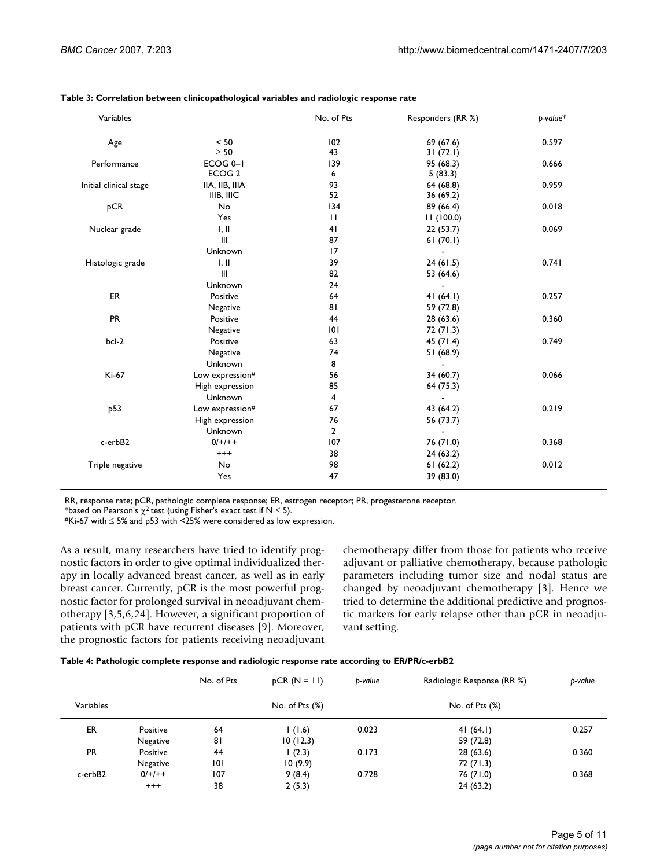| Variables              |                                          | No. of Pts            | Responders (RR %)       | $p$ -value* |
|------------------------|------------------------------------------|-----------------------|-------------------------|-------------|
| Age                    | < 50<br>$\geq 50$                        | 102<br>43             | 69 (67.6)<br>31(72.1)   | 0.597       |
| Performance            | ECOG <sub>0-1</sub><br>ECOG <sub>2</sub> | 139<br>6              | 95 (68.3)<br>5(83.3)    | 0.666       |
| Initial clinical stage | IIA, IIB, IIIA<br>IIIB, IIIC             | 93<br>52              | 64 (68.8)<br>36 (69.2)  | 0.959       |
| pCR                    | No<br>Yes                                | 134<br>$\mathbf{H}$   | 89 (66.4)<br>11 (100.0) | 0.018       |
| Nuclear grade          | I, II                                    | 41                    | 22(53.7)                | 0.069       |
|                        | III<br>Unknown                           | 87<br>17              | 61(70.1)                |             |
| Histologic grade       | I, II<br>III                             | 39<br>82              | 24(61.5)<br>53 (64.6)   | 0.741       |
| ER                     | Unknown<br>Positive                      | 24<br>64              | 41(64.1)                | 0.257       |
| <b>PR</b>              | Negative<br>Positive                     | 81<br>44              | 59 (72.8)<br>28 (63.6)  | 0.360       |
| bcl-2                  | Negative<br>Positive                     | 0 <br>63              | 72(71.3)<br>45(71.4)    | 0.749       |
|                        | Negative<br>Unknown                      | 74<br>8               | 51 (68.9)               |             |
| Ki-67                  | Low expression#                          | 56<br>85              | 34 (60.7)               | 0.066       |
|                        | High expression<br>Unknown               | $\overline{4}$        | 64 (75.3)               |             |
| p53                    | Low expression#<br>High expression       | 67<br>76              | 43 (64.2)<br>56 (73.7)  | 0.219       |
| c-erbB2                | Unknown<br>$0/+/++$                      | $\overline{2}$<br>107 | 76 (71.0)               | 0.368       |
| Triple negative        | $^{+++}$<br>No                           | 38<br>98              | 24(63.2)<br>61(62.2)    | 0.012       |
|                        | Yes                                      | 47                    | 39 (83.0)               |             |

#### **Table 3: Correlation between clinicopathological variables and radiologic response rate**

RR, response rate; pCR, pathologic complete response; ER, estrogen receptor; PR, progesterone receptor.

\*based on Pearson's  $\chi^2$  test (using Fisher's exact test if N  $\leq$  5).

#Ki-67 with ≤ 5% and p53 with <25% were considered as low expression.

As a result, many researchers have tried to identify prognostic factors in order to give optimal individualized therapy in locally advanced breast cancer, as well as in early breast cancer. Currently, pCR is the most powerful prognostic factor for prolonged survival in neoadjuvant chemotherapy [3,5,6,24]. However, a significant proportion of patients with pCR have recurrent diseases [9]. Moreover, the prognostic factors for patients receiving neoadjuvant chemotherapy differ from those for patients who receive adjuvant or palliative chemotherapy, because pathologic parameters including tumor size and nodal status are changed by neoadjuvant chemotherapy [3]. Hence we tried to determine the additional predictive and prognostic markers for early relapse other than pCR in neoadjuvant setting.

|  | Table 4: Pathologic complete response and radiologic response rate according to ER/PR/c-erbB2 |  |
|--|-----------------------------------------------------------------------------------------------|--|
|--|-----------------------------------------------------------------------------------------------|--|

|           |          | No. of Pts | $pCR (N = 11)$    | b-value | Radiologic Response (RR %) | p-value |
|-----------|----------|------------|-------------------|---------|----------------------------|---------|
| Variables |          |            | No. of Pts $(\%)$ |         | No. of Pts $(\%)$          |         |
| ER        | Positive | 64         | 1(1.6)            | 0.023   | 41 $(64.1)$                | 0.257   |
|           | Negative | 81         | 10(12.3)          |         | 59 (72.8)                  |         |
| <b>PR</b> | Positive | 44         | (2.3)             | 0.173   | 28(63.6)                   | 0.360   |
|           | Negative | 101        | 10(9.9)           |         | 72(71.3)                   |         |
| c-erbB2   | $0/+/++$ | 107        | 9(8.4)            | 0.728   | 76 (71.0)                  | 0.368   |
|           | $^{+++}$ | 38         | 2(5.3)            |         | 24(63.2)                   |         |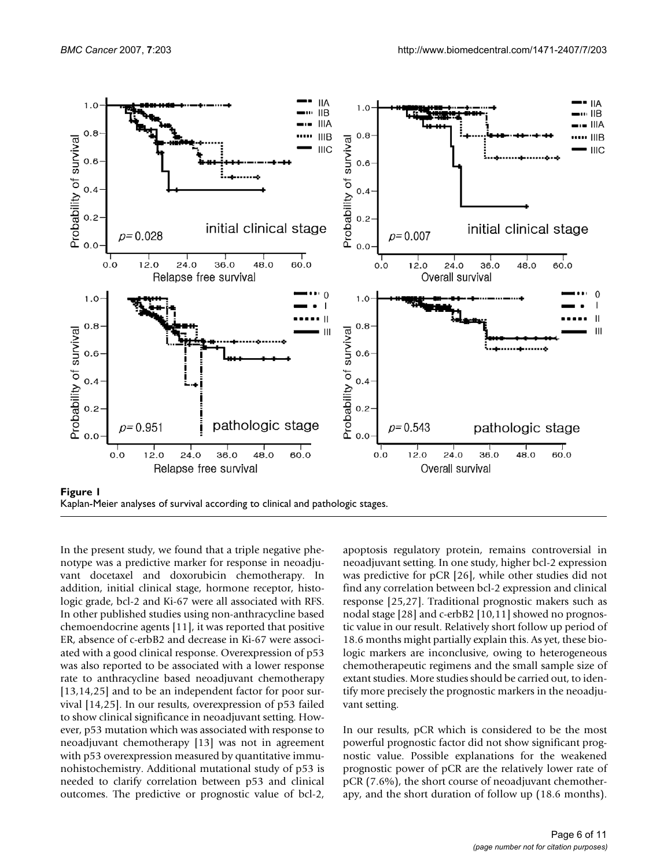

Kaplan-Meier analyses of survival according to clinical and pathologic stages.

In the present study, we found that a triple negative phenotype was a predictive marker for response in neoadjuvant docetaxel and doxorubicin chemotherapy. In addition, initial clinical stage, hormone receptor, histologic grade, bcl-2 and Ki-67 were all associated with RFS. In other published studies using non-anthracycline based chemoendocrine agents [11], it was reported that positive ER, absence of c-erbB2 and decrease in Ki-67 were associated with a good clinical response. Overexpression of p53 was also reported to be associated with a lower response rate to anthracycline based neoadjuvant chemotherapy [13,14,25] and to be an independent factor for poor survival [14,25]. In our results, overexpression of p53 failed to show clinical significance in neoadjuvant setting. However, p53 mutation which was associated with response to neoadjuvant chemotherapy [13] was not in agreement with p53 overexpression measured by quantitative immunohistochemistry. Additional mutational study of p53 is needed to clarify correlation between p53 and clinical outcomes. The predictive or prognostic value of bcl-2,

apoptosis regulatory protein, remains controversial in neoadjuvant setting. In one study, higher bcl-2 expression was predictive for pCR [26], while other studies did not find any correlation between bcl-2 expression and clinical response [25,27]. Traditional prognostic makers such as nodal stage [28] and c-erbB2 [10,11] showed no prognostic value in our result. Relatively short follow up period of 18.6 months might partially explain this. As yet, these biologic markers are inconclusive, owing to heterogeneous chemotherapeutic regimens and the small sample size of extant studies. More studies should be carried out, to identify more precisely the prognostic markers in the neoadjuvant setting.

In our results, pCR which is considered to be the most powerful prognostic factor did not show significant prognostic value. Possible explanations for the weakened prognostic power of pCR are the relatively lower rate of pCR (7.6%), the short course of neoadjuvant chemotherapy, and the short duration of follow up (18.6 months).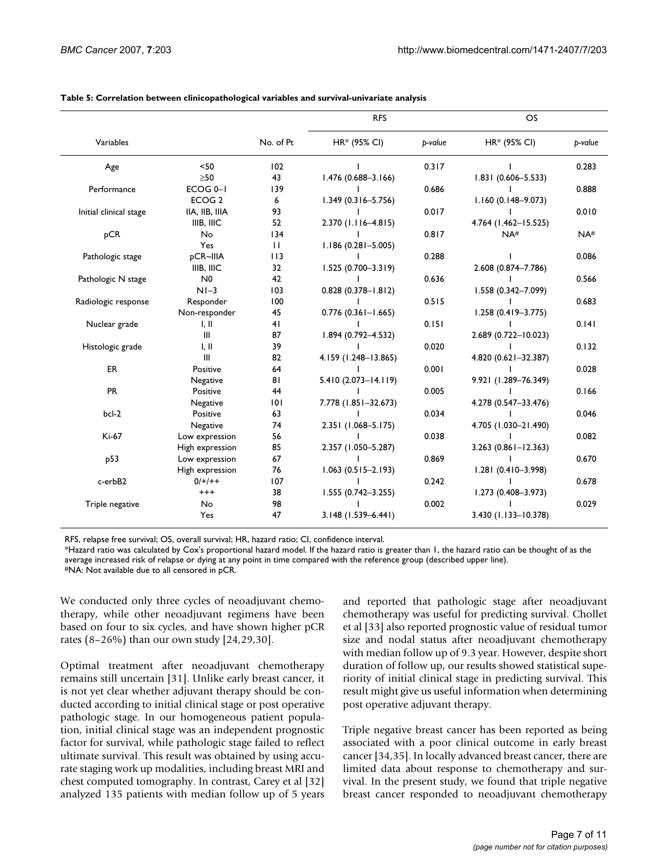|                        |                     |              | <b>RFS</b>              |         | OS                      |         |
|------------------------|---------------------|--------------|-------------------------|---------|-------------------------|---------|
| Variables              |                     | No. of Pt    | HR* (95% CI)            | b-value | HR* (95% CI)            | b-value |
| Age                    | $50$                | 102          |                         | 0.317   |                         | 0.283   |
|                        | $\geq 50$           | 43           | $1.476(0.688 - 3.166)$  |         | $1.831(0.606 - 5.533)$  |         |
| Performance            | ECOG <sub>0-1</sub> | 139          |                         | 0.686   |                         | 0.888   |
|                        | ECOG <sub>2</sub>   | 6            | $1.349(0.316 - 5.756)$  |         | $1.160(0.148 - 9.073)$  |         |
| Initial clinical stage | IIA, IIB, IIIA      | 93           |                         | 0.017   |                         | 0.010   |
|                        | IIIB, IIIC          | 52           | 2.370 (1.116-4.815)     |         | 4.764 (1.462-15.525)    |         |
| pCR                    | No                  | 134          |                         | 0.817   | NA#                     | NA#     |
|                        | Yes                 | $\mathbf{H}$ | 1.186 (0.281-5.005)     |         |                         |         |
| Pathologic stage       | pCR~IIIA            | 113          |                         | 0.288   |                         | 0.086   |
|                        | IIIB, IIIC          | 32           | $1.525(0.700 - 3.319)$  |         | 2.608 (0.874-7.786)     |         |
| Pathologic N stage     | N <sub>0</sub>      | 42           |                         | 0.636   |                         | 0.566   |
|                        | $N1-3$              | 103          | $0.828(0.378 - 1.812)$  |         | 1.558 (0.342-7.099)     |         |
| Radiologic response    | Responder           | 100          |                         | 0.515   |                         | 0.683   |
|                        | Non-responder       | 45           | $0.776$ (0.361-1.665)   |         | $1.258(0.419 - 3.775)$  |         |
| Nuclear grade          | I, II               | 41           |                         | 0.151   |                         | 0.141   |
|                        | III                 | 87           | $1.894(0.792 - 4.532)$  |         | 2.689 (0.722-10.023)    |         |
| Histologic grade       | I, II               | 39           |                         | 0.020   |                         | 0.132   |
|                        | $\mathbf{III}$      | 82           | 4.159 (1.248-13.865)    |         | 4.820 (0.621-32.387)    |         |
| ER.                    | Positive            | 64           |                         | 0.001   |                         | 0.028   |
|                        | Negative            | 81           | $5.410(2.073 - 14.119)$ |         | 9.921 (1.289-76.349)    |         |
| <b>PR</b>              | Positive            | 44           |                         | 0.005   |                         | 0.166   |
|                        | Negative            | 0            | 7.778 (1.851-32.673)    |         | 4.278 (0.547-33.476)    |         |
| bcl-2                  | Positive            | 63           |                         | 0.034   |                         | 0.046   |
|                        | Negative            | 74           | 2.351 (1.068-5.175)     |         | 4.705 (1.030-21.490)    |         |
| <b>Ki-67</b>           | Low expression      | 56           |                         | 0.038   |                         | 0.082   |
|                        | High expression     | 85           | 2.357 (1.050-5.287)     |         | $3.263(0.861 - 12.363)$ |         |
| p53                    | Low expression      | 67           |                         | 0.869   |                         | 0.670   |
|                        | High expression     | 76           | $1.063(0.515 - 2.193)$  |         | $1.281(0.410-3.998)$    |         |
| c-erbB2                | $0/+/++$            | 107          |                         | 0.242   |                         | 0.678   |
|                        | $^{+++}$            | 38           | $1.555(0.742 - 3.255)$  |         | 1.273 (0.408-3.973)     |         |
| Triple negative        | No                  | 98           |                         | 0.002   |                         | 0.029   |
|                        | Yes                 | 47           | 3.148 (1.539-6.441)     |         | 3.430 (1.133-10.378)    |         |

#### **Table 5: Correlation between clinicopathological variables and survival-univariate analysis**

RFS, relapse free survival; OS, overall survival; HR, hazard ratio; CI, confidence interval.

\*Hazard ratio was calculated by Cox's proportional hazard model. If the hazard ratio is greater than 1, the hazard ratio can be thought of as the average increased risk of relapse or dying at any point in time compared with the reference group (described upper line). #NA: Not available due to all censored in pCR.

We conducted only three cycles of neoadjuvant chemotherapy, while other neoadjuvant regimens have been based on four to six cycles, and have shown higher pCR rates (8–26%) than our own study [24,29,30].

Optimal treatment after neoadjuvant chemotherapy remains still uncertain [31]. Unlike early breast cancer, it is not yet clear whether adjuvant therapy should be conducted according to initial clinical stage or post operative pathologic stage. In our homogeneous patient population, initial clinical stage was an independent prognostic factor for survival, while pathologic stage failed to reflect ultimate survival. This result was obtained by using accurate staging work up modalities, including breast MRI and chest computed tomography. In contrast, Carey et al [32] analyzed 135 patients with median follow up of 5 years

and reported that pathologic stage after neoadjuvant chemotherapy was useful for predicting survival. Chollet et al [33] also reported prognostic value of residual tumor size and nodal status after neoadjuvant chemotherapy with median follow up of 9.3 year. However, despite short duration of follow up, our results showed statistical superiority of initial clinical stage in predicting survival. This result might give us useful information when determining post operative adjuvant therapy.

Triple negative breast cancer has been reported as being associated with a poor clinical outcome in early breast cancer [34,35]. In locally advanced breast cancer, there are limited data about response to chemotherapy and survival. In the present study, we found that triple negative breast cancer responded to neoadjuvant chemotherapy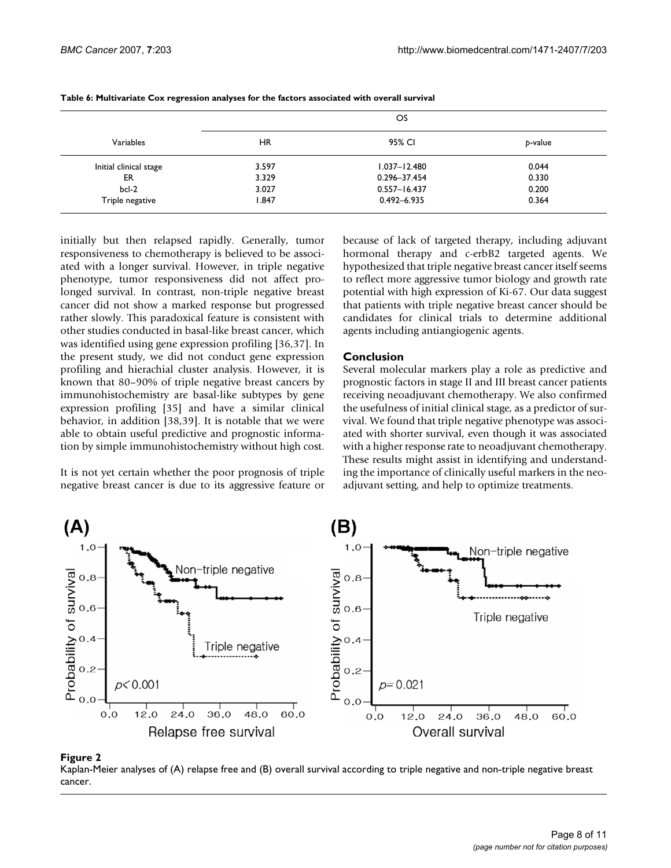| Variables              | ΗR    | 95% CI           | p-value |
|------------------------|-------|------------------|---------|
| Initial clinical stage | 3.597 | $1.037 - 12.480$ | 0.044   |
| ER                     | 3.329 | 0.296-37.454     | 0.330   |
| $bcI-2$                | 3.027 | $0.557 - 16.437$ | 0.200   |
| Triple negative        | 1.847 | $0.492 - 6.935$  | 0.364   |

#### **Table 6: Multivariate Cox regression analyses for the factors associated with overall survival**

initially but then relapsed rapidly. Generally, tumor responsiveness to chemotherapy is believed to be associated with a longer survival. However, in triple negative phenotype, tumor responsiveness did not affect prolonged survival. In contrast, non-triple negative breast cancer did not show a marked response but progressed rather slowly. This paradoxical feature is consistent with other studies conducted in basal-like breast cancer, which was identified using gene expression profiling [36,37]. In the present study, we did not conduct gene expression profiling and hierachial cluster analysis. However, it is known that 80–90% of triple negative breast cancers by immunohistochemistry are basal-like subtypes by gene expression profiling [35] and have a similar clinical behavior, in addition [38,39]. It is notable that we were able to obtain useful predictive and prognostic information by simple immunohistochemistry without high cost.

It is not yet certain whether the poor prognosis of triple negative breast cancer is due to its aggressive feature or because of lack of targeted therapy, including adjuvant hormonal therapy and c-erbB2 targeted agents. We hypothesized that triple negative breast cancer itself seems to reflect more aggressive tumor biology and growth rate potential with high expression of Ki-67. Our data suggest that patients with triple negative breast cancer should be candidates for clinical trials to determine additional agents including antiangiogenic agents.

# **Conclusion**

Several molecular markers play a role as predictive and prognostic factors in stage II and III breast cancer patients receiving neoadjuvant chemotherapy. We also confirmed the usefulness of initial clinical stage, as a predictor of survival. We found that triple negative phenotype was associated with shorter survival, even though it was associated with a higher response rate to neoadjuvant chemotherapy. These results might assist in identifying and understanding the importance of clinically useful markers in the neoadjuvant setting, and help to optimize treatments.



cancer **Figure 2** Kaplan-Meier analyses of (A) relapse free and (B) overall survival according to triple negative and non-triple negative breast Kaplan-Meier analyses of (A) relapse free and (B) overall survival according to triple negative and non-triple negative breast cancer.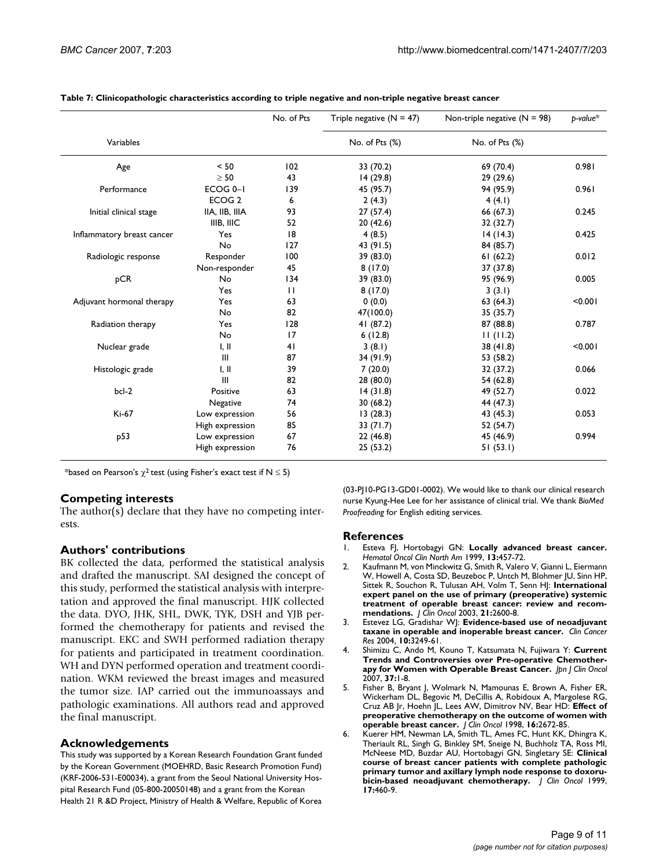|                            |                           | No. of Pts   | Triple negative $(N = 47)$ | Non-triple negative $(N = 98)$ | $b$ -value $*$ |
|----------------------------|---------------------------|--------------|----------------------------|--------------------------------|----------------|
| Variables                  |                           |              | No. of Pts (%)             | No. of Pts (%)                 |                |
| Age                        | < 50                      | 102          | 33 (70.2)                  | 69 (70.4)                      | 0.981          |
|                            | $\geq 50$                 | 43           | 14(29.8)                   | 29 (29.6)                      |                |
| Performance                | ECOG <sub>0-1</sub>       | 139          | 45 (95.7)                  | 94 (95.9)                      | 0.961          |
|                            | ECOG <sub>2</sub>         | 6            | 2(4.3)                     | 4(4.1)                         |                |
| Initial clinical stage     | IIA, IIB, IIIA            | 93           | 27(57.4)                   | 66 (67.3)                      | 0.245          |
|                            | IIIB. IIIC                | 52           | 20 (42.6)                  | 32 (32.7)                      |                |
| Inflammatory breast cancer | Yes                       | 18           | 4(8.5)                     | 14(14.3)                       | 0.425          |
|                            | No                        | 127          | 43 (91.5)                  | 84 (85.7)                      |                |
| Radiologic response        | Responder                 | 100          | 39 (83.0)                  | 61(62.2)                       | 0.012          |
|                            | Non-responder             | 45           | 8(17.0)                    | 37 (37.8)                      |                |
| pCR                        | No                        | 134          | 39 (83.0)                  | 95 (96.9)                      | 0.005          |
|                            | Yes                       | $\mathbf{H}$ | 8(17.0)                    | 3(3.1)                         |                |
| Adjuvant hormonal therapy  | Yes                       | 63           | 0(0.0)                     | 63(64.3)                       | < 0.001        |
|                            | No                        | 82           | 47(100.0)                  | 35 (35.7)                      |                |
| Radiation therapy          | Yes                       | 128          | 41 (87.2)                  | 87 (88.8)                      | 0.787          |
|                            | No                        | 17           | 6(12.8)                    | 11(11.2)                       |                |
| Nuclear grade              | $\mathsf{I}, \mathsf{II}$ | 41           | 3(8.1)                     | 38 (41.8)                      | < 0.001        |
|                            | III                       | 87           | 34(91.9)                   | 53 (58.2)                      |                |
| Histologic grade           | $\mathsf{I}, \mathsf{II}$ | 39           | 7(20.0)                    | 32 (37.2)                      | 0.066          |
|                            | III                       | 82           | 28 (80.0)                  | 54 (62.8)                      |                |
| $bcI-2$                    | Positive                  | 63           | 14(31.8)                   | 49 (52.7)                      | 0.022          |
|                            | Negative                  | 74           | 30(68.2)                   | 44 (47.3)                      |                |
| Ki-67                      | Low expression            | 56           | 13(28.3)                   | 43 (45.3)                      | 0.053          |
|                            | High expression           | 85           | 33(71.7)                   | 52 (54.7)                      |                |
| p53                        | Low expression            | 67           | 22(46.8)                   | 45 (46.9)                      | 0.994          |
|                            | High expression           | 76           | 25(53.2)                   | 51(53.1)                       |                |

### **Table 7: Clinicopathologic characteristics according to triple negative and non-triple negative breast cancer**

\*based on Pearson's  $\chi^2$  test (using Fisher's exact test if N  $\leq$  5)

# **Competing interests**

The author(s) declare that they have no competing interests.

# **Authors' contributions**

BK collected the data, performed the statistical analysis and drafted the manuscript. SAI designed the concept of this study, performed the statistical analysis with interpretation and approved the final manuscript. HJK collected the data. DYO, JHK, SHL, DWK, TYK, DSH and YJB performed the chemotherapy for patients and revised the manuscript. EKC and SWH performed radiation therapy for patients and participated in treatment coordination. WH and DYN performed operation and treatment coordination. WKM reviewed the breast images and measured the tumor size. IAP carried out the immunoassays and pathologic examinations. All authors read and approved the final manuscript.

# **Acknowledgements**

This study was supported by a Korean Research Foundation Grant funded by the Korean Government (MOEHRD, Basic Research Promotion Fund) (KRF-2006-531-E00034), a grant from the Seoul National University Hospital Research Fund (05-800-20050148) and a grant from the Korean Health 21 R &D Project, Ministry of Health & Welfare, Republic of Korea

(03-PJ10-PG13-GD01-0002). We would like to thank our clinical research nurse Kyung-Hee Lee for her assistance of clinical trial. We thank *BioMed Proofreading* for English editing services.

## **References**

- 1. Esteva FJ, Hortobagyi GN: **[Locally advanced breast cancer.](http://www.ncbi.nlm.nih.gov/entrez/query.fcgi?cmd=Retrieve&db=PubMed&dopt=Abstract&list_uids=10363140)** *Hematol Oncol Clin North Am* 1999, **13:**457-72.
- 2. Kaufmann M, von Minckwitz G, Smith R, Valero V, Gianni L, Eiermann W, Howell A, Costa SD, Beuzeboc P, Untch M, Blohmer JU, Sinn HP, Sittek R, Souchon R, Tulusan AH, Volm T, Senn HJ: **[International](http://www.ncbi.nlm.nih.gov/entrez/query.fcgi?cmd=Retrieve&db=PubMed&dopt=Abstract&list_uids=12829681) [expert panel on the use of primary \(preoperative\) systemic](http://www.ncbi.nlm.nih.gov/entrez/query.fcgi?cmd=Retrieve&db=PubMed&dopt=Abstract&list_uids=12829681) treatment of operable breast cancer: review and recom[mendations.](http://www.ncbi.nlm.nih.gov/entrez/query.fcgi?cmd=Retrieve&db=PubMed&dopt=Abstract&list_uids=12829681)** *J Clin Oncol* 2003, **21:**2600-8.
- 3. Estevez LG, Gradishar WJ: **[Evidence-based use of neoadjuvant](http://www.ncbi.nlm.nih.gov/entrez/query.fcgi?cmd=Retrieve&db=PubMed&dopt=Abstract&list_uids=15161677) [taxane in operable and inoperable breast cancer.](http://www.ncbi.nlm.nih.gov/entrez/query.fcgi?cmd=Retrieve&db=PubMed&dopt=Abstract&list_uids=15161677)** *Clin Cancer Res* 2004, **10:**3249-61.
- 4. Shimizu C, Ando M, Kouno T, Katsumata N, Fujiwara Y: **[Current](http://www.ncbi.nlm.nih.gov/entrez/query.fcgi?cmd=Retrieve&db=PubMed&dopt=Abstract&list_uids=17202251) [Trends and Controversies over Pre-operative Chemother](http://www.ncbi.nlm.nih.gov/entrez/query.fcgi?cmd=Retrieve&db=PubMed&dopt=Abstract&list_uids=17202251)[apy for Women with Operable Breast Cancer.](http://www.ncbi.nlm.nih.gov/entrez/query.fcgi?cmd=Retrieve&db=PubMed&dopt=Abstract&list_uids=17202251)** *Jpn J Clin Oncol* 2007, **37:**1-8.
- 5. Fisher B, Bryant J, Wolmark N, Mamounas E, Brown A, Fisher ER, Wickerham DL, Begovic M, DeCillis A, Robidoux A, Margolese RG, Cruz AB Jr, Hoehn JL, Lees AW, Dimitrov NV, Bear HD: **[Effect of](http://www.ncbi.nlm.nih.gov/entrez/query.fcgi?cmd=Retrieve&db=PubMed&dopt=Abstract&list_uids=9704717) [preoperative chemotherapy on the outcome of women with](http://www.ncbi.nlm.nih.gov/entrez/query.fcgi?cmd=Retrieve&db=PubMed&dopt=Abstract&list_uids=9704717) [operable breast cancer.](http://www.ncbi.nlm.nih.gov/entrez/query.fcgi?cmd=Retrieve&db=PubMed&dopt=Abstract&list_uids=9704717)** *J Clin Oncol* 1998, **16:**2672-85.
- Kuerer HM, Newman LA, Smith TL, Ames FC, Hunt KK, Dhingra K, Theriault RL, Singh G, Binkley SM, Sneige N, Buchholz TA, Ross MI, McNeese MD, Buzdar AU, Hortobagyi GN, Singletary SE: **[Clinical](http://www.ncbi.nlm.nih.gov/entrez/query.fcgi?cmd=Retrieve&db=PubMed&dopt=Abstract&list_uids=10080586) [course of breast cancer patients with complete pathologic](http://www.ncbi.nlm.nih.gov/entrez/query.fcgi?cmd=Retrieve&db=PubMed&dopt=Abstract&list_uids=10080586) primary tumor and axillary lymph node response to doxoru[bicin-based neoadjuvant chemotherapy.](http://www.ncbi.nlm.nih.gov/entrez/query.fcgi?cmd=Retrieve&db=PubMed&dopt=Abstract&list_uids=10080586)** *J Clin Oncol* 1999, **17:**460-9.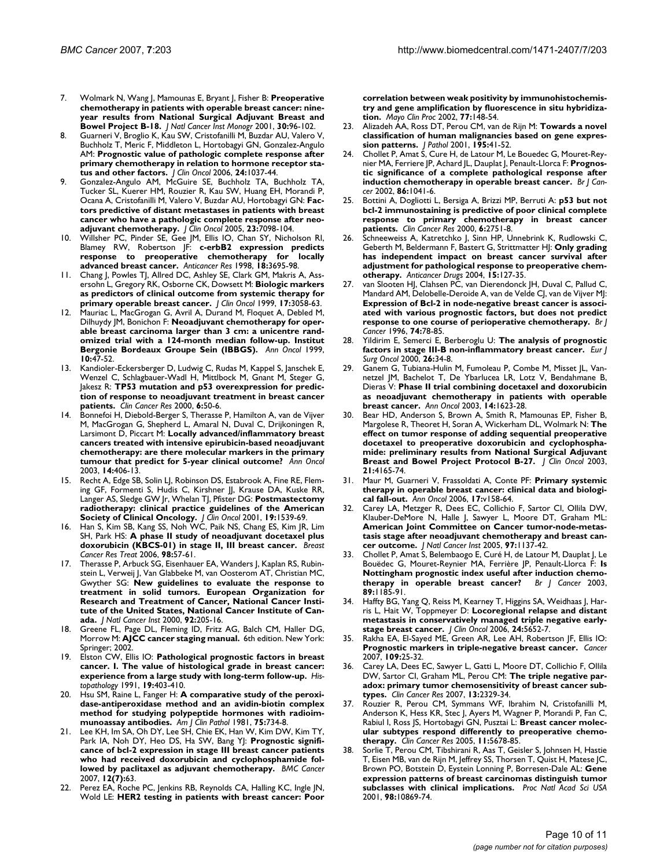- 7. Wolmark N, Wang J, Mamounas E, Bryant J, Fisher B: **[Preoperative](http://www.ncbi.nlm.nih.gov/entrez/query.fcgi?cmd=Retrieve&db=PubMed&dopt=Abstract&list_uids=11773300) [chemotherapy in patients with operable breast cancer: nine](http://www.ncbi.nlm.nih.gov/entrez/query.fcgi?cmd=Retrieve&db=PubMed&dopt=Abstract&list_uids=11773300)year results from National Surgical Adjuvant Breast and [Bowel Project B-18.](http://www.ncbi.nlm.nih.gov/entrez/query.fcgi?cmd=Retrieve&db=PubMed&dopt=Abstract&list_uids=11773300)** *J Natl Cancer Inst Monogr* 2001, **30:**96-102.
- 8. Guarneri V, Broglio K, Kau SW, Cristofanilli M, Buzdar AU, Valero V, Buchholz T, Meric F, Middleton L, Hortobagyi GN, Gonzalez-Angulo AM: **[Prognostic value of pathologic complete response after](http://www.ncbi.nlm.nih.gov/entrez/query.fcgi?cmd=Retrieve&db=PubMed&dopt=Abstract&list_uids=16505422) [primary chemotherapy in relation to hormone receptor sta](http://www.ncbi.nlm.nih.gov/entrez/query.fcgi?cmd=Retrieve&db=PubMed&dopt=Abstract&list_uids=16505422)[tus and other factors.](http://www.ncbi.nlm.nih.gov/entrez/query.fcgi?cmd=Retrieve&db=PubMed&dopt=Abstract&list_uids=16505422)** *J Clin Oncol* 2006, **24:**1037-44.
- 9. Gonzalez-Angulo AM, McGuire SE, Buchholz TA, Buchholz TA, Tucker SL, Kuerer HM, Rouzier R, Kau SW, Huang EH, Morandi P, Ocana A, Cristofanilli M, Valero V, Buzdar AU, Hortobagyi GN: **[Fac](http://www.ncbi.nlm.nih.gov/entrez/query.fcgi?cmd=Retrieve&db=PubMed&dopt=Abstract&list_uids=16192593)[tors predictive of distant metastases in patients with breast](http://www.ncbi.nlm.nih.gov/entrez/query.fcgi?cmd=Retrieve&db=PubMed&dopt=Abstract&list_uids=16192593) cancer who have a pathologic complete response after neo[adjuvant chemotherapy.](http://www.ncbi.nlm.nih.gov/entrez/query.fcgi?cmd=Retrieve&db=PubMed&dopt=Abstract&list_uids=16192593)** *J Clin Oncol* 2005, **23:**7098-104.
- 10. Willsher PC, Pinder SE, Gee JM, Ellis IO, Chan SY, Nicholson RI, Blamey RW, Robertson JF: **[c-erbB2 expression predicts](http://www.ncbi.nlm.nih.gov/entrez/query.fcgi?cmd=Retrieve&db=PubMed&dopt=Abstract&list_uids=9854479) [response to preoperative chemotherapy for locally](http://www.ncbi.nlm.nih.gov/entrez/query.fcgi?cmd=Retrieve&db=PubMed&dopt=Abstract&list_uids=9854479) [advanced breast cancer.](http://www.ncbi.nlm.nih.gov/entrez/query.fcgi?cmd=Retrieve&db=PubMed&dopt=Abstract&list_uids=9854479)** *Anticancer Res* 1998, **18:**3695-98.
- 11. Chang J, Powles TJ, Allred DC, Ashley SE, Clark GM, Makris A, Assersohn L, Gregory RK, Osborne CK, Dowsett M: **[Biologic markers](http://www.ncbi.nlm.nih.gov/entrez/query.fcgi?cmd=Retrieve&db=PubMed&dopt=Abstract&list_uids=10506600) [as predictors of clinical outcome from systemic therapy for](http://www.ncbi.nlm.nih.gov/entrez/query.fcgi?cmd=Retrieve&db=PubMed&dopt=Abstract&list_uids=10506600) [primary operable breast cancer.](http://www.ncbi.nlm.nih.gov/entrez/query.fcgi?cmd=Retrieve&db=PubMed&dopt=Abstract&list_uids=10506600)** *J Clin Oncol* 1999, **17:**3058-63.
- 12. Mauriac L, MacGrogan G, Avril A, Durand M, Floquet A, Debled M, Dilhuydy JM, Bonichon F: **[Neoadjuvant chemotherapy for oper](http://www.ncbi.nlm.nih.gov/entrez/query.fcgi?cmd=Retrieve&db=PubMed&dopt=Abstract&list_uids=10076721)[able breast carcinoma larger than 3 cm: a unicentre rand](http://www.ncbi.nlm.nih.gov/entrez/query.fcgi?cmd=Retrieve&db=PubMed&dopt=Abstract&list_uids=10076721)omized trial with a 124-month median follow-up. Institut [Bergonie Bordeaux Groupe Sein \(IBBGS\).](http://www.ncbi.nlm.nih.gov/entrez/query.fcgi?cmd=Retrieve&db=PubMed&dopt=Abstract&list_uids=10076721)** *Ann Oncol* 1999, **10:**47-52.
- 13. Kandioler-Eckersberger D, Ludwig C, Rudas M, Kappel S, Janschek E, Wenzel C, Schlagbauer-Wadl H, Mittlbock M, Gnant M, Steger G, lakesz R: **TP53** mutation and p53 overexpression for predic**[tion of response to neoadjuvant treatment in breast cancer](http://www.ncbi.nlm.nih.gov/entrez/query.fcgi?cmd=Retrieve&db=PubMed&dopt=Abstract&list_uids=10656431) [patients.](http://www.ncbi.nlm.nih.gov/entrez/query.fcgi?cmd=Retrieve&db=PubMed&dopt=Abstract&list_uids=10656431)** *Clin Cancer Res* 2000, **6:**50-6.
- 14. Bonnefoi H, Diebold-Berger S, Therasse P, Hamilton A, van de Vijver M, MacGrogan G, Shepherd L, Amaral N, Duval C, Drijkoningen R, Larsimont D, Piccart M: **[Locally advanced/inflammatory breast](http://www.ncbi.nlm.nih.gov/entrez/query.fcgi?cmd=Retrieve&db=PubMed&dopt=Abstract&list_uids=12598346) [cancers treated with intensive epirubicin-based neoadjuvant](http://www.ncbi.nlm.nih.gov/entrez/query.fcgi?cmd=Retrieve&db=PubMed&dopt=Abstract&list_uids=12598346) chemotherapy: are there molecular markers in the primary [tumour that predict for 5-year clinical outcome?](http://www.ncbi.nlm.nih.gov/entrez/query.fcgi?cmd=Retrieve&db=PubMed&dopt=Abstract&list_uids=12598346)** *Ann Oncol* 2003, **14:**406-13.
- 15. Recht A, Edge SB, Solin LJ, Robinson DS, Estabrook A, Fine RE, Fleming GF, Formenti S, Hudis C, Kirshner JJ, Krause DA, Kuske RR, Langer AS, Sledge GW Jr, Whelan TJ, Pfister DG: **[Postmastectomy](http://www.ncbi.nlm.nih.gov/entrez/query.fcgi?cmd=Retrieve&db=PubMed&dopt=Abstract&list_uids=11230499) [radiotherapy: clinical practice guidelines of the American](http://www.ncbi.nlm.nih.gov/entrez/query.fcgi?cmd=Retrieve&db=PubMed&dopt=Abstract&list_uids=11230499) [Society of Clinical Oncology.](http://www.ncbi.nlm.nih.gov/entrez/query.fcgi?cmd=Retrieve&db=PubMed&dopt=Abstract&list_uids=11230499)** *J Clin Oncol* 2001, **19:**1539-69.
- 16. Han S, Kim SB, Kang SS, Noh WC, Paik NS, Chang ES, Kim JR, Lim SH, Park HS: **[A phase II study of neoadjuvant docetaxel plus](http://www.ncbi.nlm.nih.gov/entrez/query.fcgi?cmd=Retrieve&db=PubMed&dopt=Abstract&list_uids=16752226) [doxorubicin \(KBCS-01\) in stage II, III breast cancer.](http://www.ncbi.nlm.nih.gov/entrez/query.fcgi?cmd=Retrieve&db=PubMed&dopt=Abstract&list_uids=16752226)** *Breast Cancer Res Treat* 2006, **98:**57-61.
- 17. Therasse P, Arbuck SG, Eisenhauer EA, Wanders J, Kaplan RS, Rubinstein L, Verweij J, Van Glabbeke M, van Oosterom AT, Christian MC, Gwyther SG: **[New guidelines to evaluate the response to](http://www.ncbi.nlm.nih.gov/entrez/query.fcgi?cmd=Retrieve&db=PubMed&dopt=Abstract&list_uids=10655437) [treatment in solid tumors. European Organization for](http://www.ncbi.nlm.nih.gov/entrez/query.fcgi?cmd=Retrieve&db=PubMed&dopt=Abstract&list_uids=10655437) Research and Treatment of Cancer, National Cancer Institute of the United States, National Cancer Institute of Can[ada.](http://www.ncbi.nlm.nih.gov/entrez/query.fcgi?cmd=Retrieve&db=PubMed&dopt=Abstract&list_uids=10655437)** *J Natl Cancer Inst* 2000, **92:**205-16.
- 18. Greene FL, Page DL, Fleming ID, Fritz AG, Balch CM, Haller DG, Morrow M: **AJCC cancer staging manual.** 6th edition. New York: Springer; 2002.
- 19. Elston CW, Ellis IO: **[Pathological prognostic factors in breast](http://www.ncbi.nlm.nih.gov/entrez/query.fcgi?cmd=Retrieve&db=PubMed&dopt=Abstract&list_uids=1757079) [cancer. I. The value of histological grade in breast cancer:](http://www.ncbi.nlm.nih.gov/entrez/query.fcgi?cmd=Retrieve&db=PubMed&dopt=Abstract&list_uids=1757079) [experience from a large study with long-term follow-up.](http://www.ncbi.nlm.nih.gov/entrez/query.fcgi?cmd=Retrieve&db=PubMed&dopt=Abstract&list_uids=1757079)** *Histopathology* 1991, **19:**403-410.
- 20. Hsu SM, Raine L, Fanger H: [A comparative study of the peroxi](http://www.ncbi.nlm.nih.gov/entrez/query.fcgi?cmd=Retrieve&db=PubMed&dopt=Abstract&list_uids=6165237)**[dase-antiperoxidase method and an avidin-biotin complex](http://www.ncbi.nlm.nih.gov/entrez/query.fcgi?cmd=Retrieve&db=PubMed&dopt=Abstract&list_uids=6165237) method for studying polypeptide hormones with radioim[munoassay antibodies.](http://www.ncbi.nlm.nih.gov/entrez/query.fcgi?cmd=Retrieve&db=PubMed&dopt=Abstract&list_uids=6165237)** *Am J Clin Pathol* 1981, **75:**734-8.
- 21. Lee KH, Im SA, Oh DY, Lee SH, Chie EK, Han W, Kim DW, Kim TY, Park IA, Noh DY, Heo DS, Ha SW, Bang YJ: **Prognostic significance of bcl-2 expression in stage III breast cancer patients who had received doxorubicin and cyclophosphamide followed by paclitaxel as adjuvant chemotherapy.** *BMC Cancer* 2007, **12(7):**63.
- 22. Perez EA, Roche PC, Jenkins RB, Reynolds CA, Halling KC, Ingle JN, Wold LE: **[HER2 testing in patients with breast cancer: Poor](http://www.ncbi.nlm.nih.gov/entrez/query.fcgi?cmd=Retrieve&db=PubMed&dopt=Abstract&list_uids=11838648)**

**[correlation between weak positivity by immunohistochemis](http://www.ncbi.nlm.nih.gov/entrez/query.fcgi?cmd=Retrieve&db=PubMed&dopt=Abstract&list_uids=11838648)try and gene amplification by fluorescence in situ hybridiza[tion.](http://www.ncbi.nlm.nih.gov/entrez/query.fcgi?cmd=Retrieve&db=PubMed&dopt=Abstract&list_uids=11838648)** *Mayo Clin Proc* 2002, **77:**148-54.

- 23. Alizadeh AA, Ross DT, Perou CM, van de Rijn M: **[Towards a novel](http://www.ncbi.nlm.nih.gov/entrez/query.fcgi?cmd=Retrieve&db=PubMed&dopt=Abstract&list_uids=11568890) [classification of human malignancies based on gene expres](http://www.ncbi.nlm.nih.gov/entrez/query.fcgi?cmd=Retrieve&db=PubMed&dopt=Abstract&list_uids=11568890)[sion patterns.](http://www.ncbi.nlm.nih.gov/entrez/query.fcgi?cmd=Retrieve&db=PubMed&dopt=Abstract&list_uids=11568890)** *J Pathol* 2001, **195:**41-52.
- 24. Chollet P, Amat S, Cure H, de Latour M, Le Bouedec G, Mouret-Reynier MA, Ferriere JP, Achard JL, Dauplat J, Penault-Llorca F: **[Prognos](http://www.ncbi.nlm.nih.gov/entrez/query.fcgi?cmd=Retrieve&db=PubMed&dopt=Abstract&list_uids=11953845)[tic significance of a complete pathological response after](http://www.ncbi.nlm.nih.gov/entrez/query.fcgi?cmd=Retrieve&db=PubMed&dopt=Abstract&list_uids=11953845) [induction chemotherapy in operable breast cancer.](http://www.ncbi.nlm.nih.gov/entrez/query.fcgi?cmd=Retrieve&db=PubMed&dopt=Abstract&list_uids=11953845)** *Br J Cancer* 2002, **86:**1041-6.
- 25. Bottini A, Dogliotti L, Bersiga A, Brizzi MP, Berruti A: **[p53 but not](http://www.ncbi.nlm.nih.gov/entrez/query.fcgi?cmd=Retrieve&db=PubMed&dopt=Abstract&list_uids=10914720) [bcl-2 immunostaining is predictive of poor clinical complete](http://www.ncbi.nlm.nih.gov/entrez/query.fcgi?cmd=Retrieve&db=PubMed&dopt=Abstract&list_uids=10914720) response to primary chemotherapy in breast cancer [patients.](http://www.ncbi.nlm.nih.gov/entrez/query.fcgi?cmd=Retrieve&db=PubMed&dopt=Abstract&list_uids=10914720)** *Clin Cancer Res* 2000, **6:**2751-8.
- Schneeweiss A, Katretchko J, Sinn HP, Unnebrink K, Rudlowski C, Geberth M, Beldermann F, Bastert G, Strittmatter HJ: **[Only grading](http://www.ncbi.nlm.nih.gov/entrez/query.fcgi?cmd=Retrieve&db=PubMed&dopt=Abstract&list_uids=15075668) [has independent impact on breast cancer survival after](http://www.ncbi.nlm.nih.gov/entrez/query.fcgi?cmd=Retrieve&db=PubMed&dopt=Abstract&list_uids=15075668) adjustment for pathological response to preoperative chem[otherapy.](http://www.ncbi.nlm.nih.gov/entrez/query.fcgi?cmd=Retrieve&db=PubMed&dopt=Abstract&list_uids=15075668)** *Anticancer Drugs* 2004, **15:**127-35.
- 27. van Slooten HJ, Clahsen PC, van Dierendonck JH, Duval C, Pallud C, Mandard AM, Delobelle-Deroide A, van de Velde CJ, van de Vijver MJ: **[Expression of Bcl-2 in node-negative breast cancer is associ](http://www.ncbi.nlm.nih.gov/entrez/query.fcgi?cmd=Retrieve&db=PubMed&dopt=Abstract&list_uids=8679463)ated with various prognostic factors, but does not predict [response to one course of perioperative chemotherapy.](http://www.ncbi.nlm.nih.gov/entrez/query.fcgi?cmd=Retrieve&db=PubMed&dopt=Abstract&list_uids=8679463)** *Br J Cancer* 1996, **74:**78-85.
- Yildirim E, Semerci E, Berberoglu U: [The analysis of prognostic](http://www.ncbi.nlm.nih.gov/entrez/query.fcgi?cmd=Retrieve&db=PubMed&dopt=Abstract&list_uids=10718177) **[factors in stage III-B non-inflammatory breast cancer.](http://www.ncbi.nlm.nih.gov/entrez/query.fcgi?cmd=Retrieve&db=PubMed&dopt=Abstract&list_uids=10718177)** *Eur J Surg Oncol* 2000, **26:**34-8.
- 29. Ganem G, Tubiana-Hulin M, Fumoleau P, Combe M, Misset JL, Vannetzel JM, Bachelot T, De Ybarlucea LR, Lotz V, Bendahmane B, Dieras V: **[Phase II trial combining docetaxel and doxorubicin](http://www.ncbi.nlm.nih.gov/entrez/query.fcgi?cmd=Retrieve&db=PubMed&dopt=Abstract&list_uids=14581269) [as neoadjuvant chemotherapy in patients with operable](http://www.ncbi.nlm.nih.gov/entrez/query.fcgi?cmd=Retrieve&db=PubMed&dopt=Abstract&list_uids=14581269) [breast cancer.](http://www.ncbi.nlm.nih.gov/entrez/query.fcgi?cmd=Retrieve&db=PubMed&dopt=Abstract&list_uids=14581269)** *Ann Oncol* 2003, **14:**1623-28.
- 30. Bear HD, Anderson S, Brown A, Smith R, Mamounas EP, Fisher B, Margolese R, Theoret H, Soran A, Wickerham DL, Wolmark N: **[The](http://www.ncbi.nlm.nih.gov/entrez/query.fcgi?cmd=Retrieve&db=PubMed&dopt=Abstract&list_uids=14559892) effect on tumor response of adding sequential preoperative [docetaxel to preoperative doxorubicin and cyclophospha](http://www.ncbi.nlm.nih.gov/entrez/query.fcgi?cmd=Retrieve&db=PubMed&dopt=Abstract&list_uids=14559892)mide: preliminary results from National Surgical Adjuvant [Breast and Bowel Project Protocol B-27.](http://www.ncbi.nlm.nih.gov/entrez/query.fcgi?cmd=Retrieve&db=PubMed&dopt=Abstract&list_uids=14559892)** *J Clin Oncol* 2003, **21:**4165-74.
- 31. Maur M, Guarneri V, Frassoldati A, Conte PF: **[Primary systemic](http://www.ncbi.nlm.nih.gov/entrez/query.fcgi?cmd=Retrieve&db=PubMed&dopt=Abstract&list_uids=16807447) [therapy in operable breast cancer: clinical data and biologi](http://www.ncbi.nlm.nih.gov/entrez/query.fcgi?cmd=Retrieve&db=PubMed&dopt=Abstract&list_uids=16807447)[cal fall-out.](http://www.ncbi.nlm.nih.gov/entrez/query.fcgi?cmd=Retrieve&db=PubMed&dopt=Abstract&list_uids=16807447)** *Ann Oncol* 2006, **17:**v158-64.
- 32. Carey LA, Metzger R, Dees EC, Collichio F, Sartor CI, Ollila DW, Klauber-DeMore N, Halle J, Sawyer L, Moore DT, Graham ML: **[American Joint Committee on Cancer tumor-node-metas](http://www.ncbi.nlm.nih.gov/entrez/query.fcgi?cmd=Retrieve&db=PubMed&dopt=Abstract&list_uids=16077072)tasis stage after neoadjuvant chemotherapy and breast can[cer outcome.](http://www.ncbi.nlm.nih.gov/entrez/query.fcgi?cmd=Retrieve&db=PubMed&dopt=Abstract&list_uids=16077072)** *J Natl Cancer Inst* 2005, **97:**1137-42.
- Chollet P, Amat S, Belembaogo E, Curé H, de Latour M, Dauplat J, Le Bouëdec G, Mouret-Reynier MA, Ferrière JP, Penault-Llorca F: **[Is](http://www.ncbi.nlm.nih.gov/entrez/query.fcgi?cmd=Retrieve&db=PubMed&dopt=Abstract&list_uids=14520443) [Nottingham prognostic index useful after induction chemo](http://www.ncbi.nlm.nih.gov/entrez/query.fcgi?cmd=Retrieve&db=PubMed&dopt=Abstract&list_uids=14520443)[therapy in operable breast cancer?](http://www.ncbi.nlm.nih.gov/entrez/query.fcgi?cmd=Retrieve&db=PubMed&dopt=Abstract&list_uids=14520443)** *Br J Cancer* 2003, **89:**1185-91.
- 34. Haffty BG, Yang Q, Reiss M, Kearney T, Higgins SA, Weidhaas J, Harris L, Hait W, Toppmeyer D: **[Locoregional relapse and distant](http://www.ncbi.nlm.nih.gov/entrez/query.fcgi?cmd=Retrieve&db=PubMed&dopt=Abstract&list_uids=17116942) [metastasis in conservatively managed triple negative early](http://www.ncbi.nlm.nih.gov/entrez/query.fcgi?cmd=Retrieve&db=PubMed&dopt=Abstract&list_uids=17116942)[stage breast cancer.](http://www.ncbi.nlm.nih.gov/entrez/query.fcgi?cmd=Retrieve&db=PubMed&dopt=Abstract&list_uids=17116942)** *J Clin Oncol* 2006, **24:**5652-7.
- 35. Rakha EA, El-Sayed ME, Green AR, Lee AH, Robertson JF, Ellis IO: **[Prognostic markers in triple-negative breast cancer.](http://www.ncbi.nlm.nih.gov/entrez/query.fcgi?cmd=Retrieve&db=PubMed&dopt=Abstract&list_uids=17146782)** *Cancer* 2007, **109:**25-32.
- 36. Carey LA, Dees EC, Sawyer L, Gatti L, Moore DT, Collichio F, Ollila DW, Sartor CI, Graham ML, Perou CM: **[The triple negative par](http://www.ncbi.nlm.nih.gov/entrez/query.fcgi?cmd=Retrieve&db=PubMed&dopt=Abstract&list_uids=17438091)[adox: primary tumor chemosensitivity of breast cancer sub](http://www.ncbi.nlm.nih.gov/entrez/query.fcgi?cmd=Retrieve&db=PubMed&dopt=Abstract&list_uids=17438091)[types.](http://www.ncbi.nlm.nih.gov/entrez/query.fcgi?cmd=Retrieve&db=PubMed&dopt=Abstract&list_uids=17438091)** *Clin Cancer Res* 2007, **13:**2329-34.
- 37. Rouzier R, Perou CM, Symmans WF, Ibrahim N, Cristofanilli M, Anderson K, Hess KR, Stec J, Ayers M, Wagner P, Morandi P, Fan C, Rabiul I, Ross JS, Hortobagyi GN, Pusztai L: **[Breast cancer molec](http://www.ncbi.nlm.nih.gov/entrez/query.fcgi?cmd=Retrieve&db=PubMed&dopt=Abstract&list_uids=16115903)[ular subtypes respond differently to preoperative chemo](http://www.ncbi.nlm.nih.gov/entrez/query.fcgi?cmd=Retrieve&db=PubMed&dopt=Abstract&list_uids=16115903)[therapy.](http://www.ncbi.nlm.nih.gov/entrez/query.fcgi?cmd=Retrieve&db=PubMed&dopt=Abstract&list_uids=16115903)** *Clin Cancer Res* 2005, **11:**5678-85.
- 38. Sorlie T, Perou CM, Tibshirani R, Aas T, Geisler S, Johnsen H, Hastie T, Eisen MB, van de Rijn M, Jeffrey SS, Thorsen T, Quist H, Matese JC, Brown PO, Botstein D, Eystein Lonning P, Borresen-Dale AL: **[Gene](http://www.ncbi.nlm.nih.gov/entrez/query.fcgi?cmd=Retrieve&db=PubMed&dopt=Abstract&list_uids=11553815) [expression patterns of breast carcinomas distinguish tumor](http://www.ncbi.nlm.nih.gov/entrez/query.fcgi?cmd=Retrieve&db=PubMed&dopt=Abstract&list_uids=11553815) [subclasses with clinical implications.](http://www.ncbi.nlm.nih.gov/entrez/query.fcgi?cmd=Retrieve&db=PubMed&dopt=Abstract&list_uids=11553815)** *Proc Natl Acad Sci USA* 2001, **98:**10869-74.